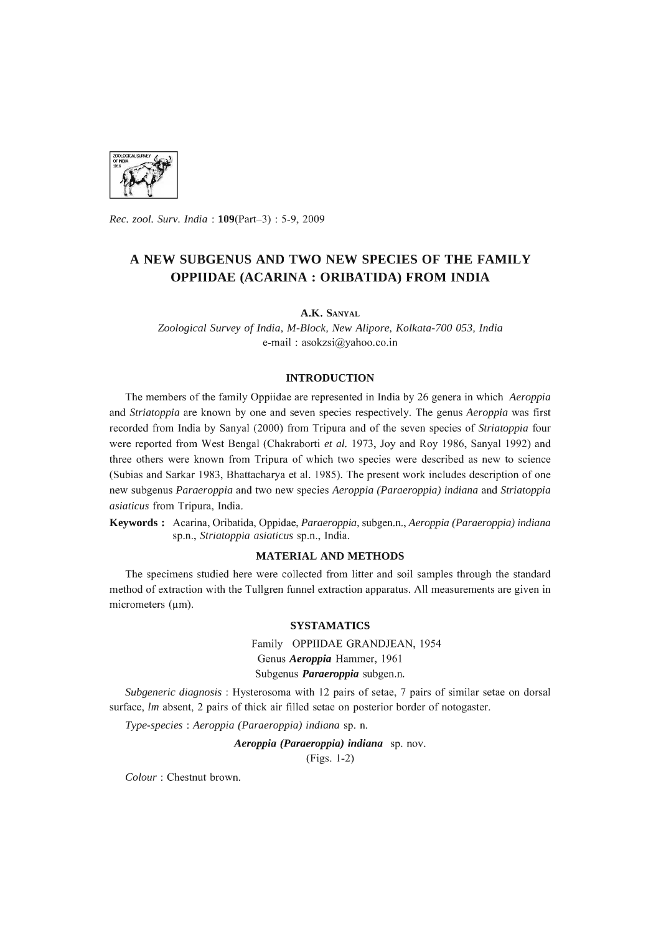

*Rec. zool. Surv. India:* l09(Part-3) : 5-9, 2009

# **A NEW SUBGENUS AND TWO NEW SPECIES OF THE FAMILY OPPIIDAE (ACARINA: ORIBATIDA) FROM INDIA**

**A.K.** SANYAL

*Zoological Survey* of *India, M-Block, New Alipore, Kolkata-700 053, India*  e-mail: asokzsi@yahoo.co.in

## **INTRODUCTION**

The members of the family Oppiidae are represented in India by 26 genera in which *Aeroppia*  and *Striatoppia* are known by one and seven species respectively. The genus *Aeroppia* was first recorded from India by Sanyal (2000) from Tripura and of the seven species of *Striatoppia* four were reported from West Bengal (Chakraborti *et al.* 1973, Joy and Roy 1986, Sanyal 1992) and three others were known from Tripura of which two species were described as new to science (Subias and Sarkar 1983, Bhattacharya et al. 1985). The present work includes description of one new subgenus *Paraeroppia* and two new species *Aeroppia (Paraeroppia) indiana* and *Striatoppia asiaticus* from Tripura, India.

**Keywords:** Acarina, Oribatida, Oppidae, *Paraeroppia,* subgen.n., *Aeroppia (Paraeroppia) indiana*  sp.n., *Striatoppia asiaticus* sp.n., India.

## **MATERIAL AND METHODS**

The specimens studied here were collected from litter and soil samples through the standard method of extraction with the Tullgren funnel extraction apparatus. All measurements are given in micrometers  $(\mu m)$ .

### **SYSTAMATICS**

Family OPPIIDAE GRANDJEAN, 1954 Genus *Aeroppia* Hammer, 1961 Subgenus *Paraeroppia* subgen.n.

*Subgeneric diagnosis:* Hysterosoma with 12 pairs of setae, 7 pairs of similar setae on dorsal surface, *lm* absent, 2 pairs of thick air filled setae on posterior border of notogaster.

*Type-species* : *Aeroppia (Paraeroppia) indiana* sp. n.

*Aeroppia (Paraeroppia) indiana* sp. nov.

(Figs. 1-2)

*Colour* : Chestnut brown.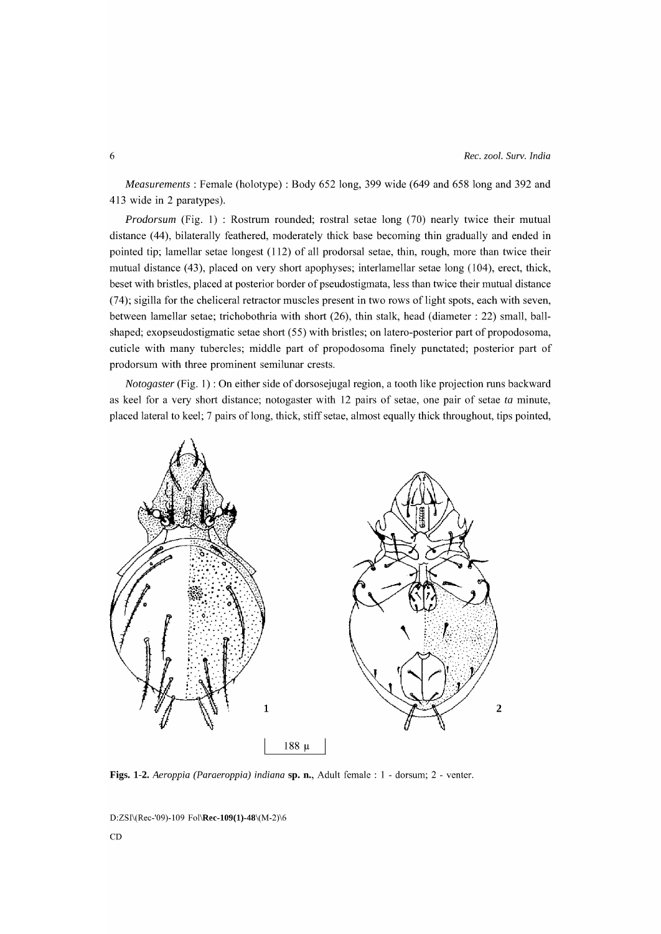*Measurements:* Female (holotype) : Body 652 long, 399 wide (649 and 658 long and 392 and 413 wide in 2 paratypes).

*Prodorsum* (Fig. 1) : Rostrum rounded; rostral setae long (70) nearly twice their mutual distance (44), bilaterally feathered, moderately thick base becoming thin gradually and ended in pointed tip; lamellar setae longest (112) of all prodorsal setae, thin, rough, more than twice their mutual distance (43), placed on very short apophyses; interlamellar setae long (104), erect, thick, beset with bristles, placed at posterior border of pseudostigmata, less than twice their mutual distance (74); sigilla for the cheliceral retractor muscles present in two rows of light spots, each with seven, between lamellar setae; trichobothria with short (26), thin stalk, head (diameter: 22) small, ballshaped; exopseudostigmatic setae short (55) with bristles; on latero-posterior part of propodosoma, cuticle with many tubercles; middle part of propodosoma finely punctated; posterior part of prodorsum with three prominent semilunar crests.

*Notogaster* (Fig. 1) : On either side of dorsosejugal region, a tooth like projection runs backward as keel for a very short distance; notogaster with 12 pairs of setae, one pair of setae *ta* minute, placed lateral to keel; 7 pairs of long, thick, stiff setae, almost equally thick throughout, tips pointed,



Figs. 1-2. *Aeroppia (Paraeroppia) indiana* sp. n., Adult female: 1 - dorsum; 2 - venter.

D:ZSI\(Rec-'09)-109 Fol\Rec-109(1)-48\(M-2)\6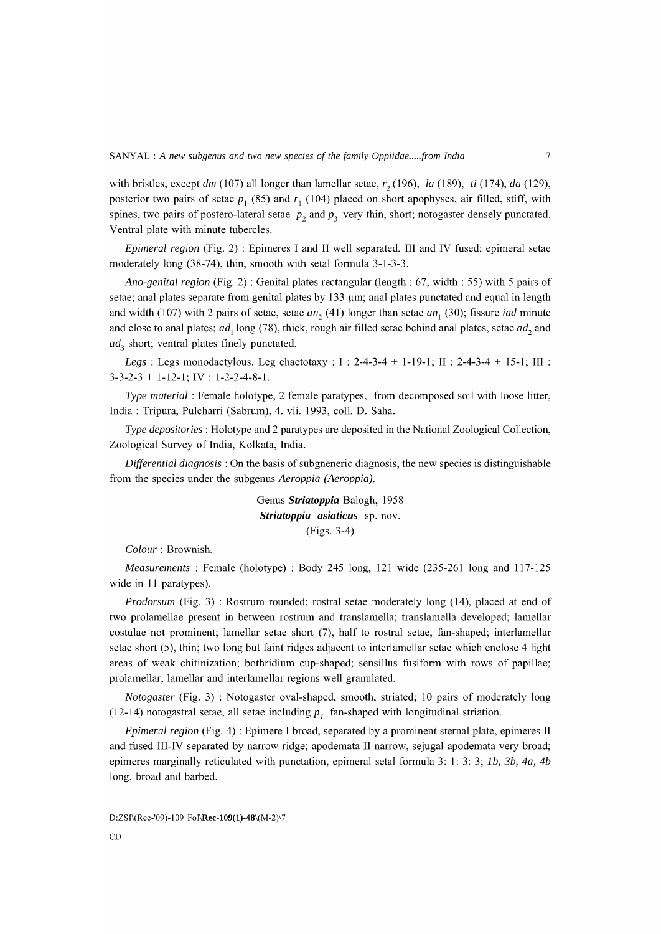with bristles, except dm (107) all longer than lamellar setae,  $r<sub>2</sub>$  (196), *la* (189), *ti* (174), *da* (129), posterior two pairs of setae  $p_1$  (85) and  $r_1$  (104) placed on short apophyses, air filled, stiff, with spines, two pairs of postero-lateral setae  $p_2$  and  $p_3$  very thin, short; notogaster densely punctated. Ventral plate with minute tubercles.

*Epimeral region* (Fig. 2) : Epimeres I and II well separated, III and IV fused; epimeral setae moderately long (38-74), thin, smooth with setal formula 3-1-3-3.

*Ano-genital region* (Fig. 2) : Genital plates rectangular (length: 67, width: 55) with 5 pairs of setae; anal plates separate from genital plates by  $133 \mu m$ ; anal plates punctated and equal in length and width (107) with 2 pairs of setae, setae *an*<sub>1</sub> (41) longer than setae *an*<sub>1</sub> (30); fissure *iad* minute and close to anal plates;  $ad_1$  long (78), thick, rough air filled setae behind anal plates, setae  $ad_2$  and *ad<sub>3</sub>* short; ventral plates finely punctated.

*Legs:* Legs monodactylous. Leg chaetotaxy : I : 2-4-3-4 + 1-19-1; II : 2-4-3-4 + 15-1; III :  $3-3-2-3 + 1-12-1$ ; IV : 1-2-2-4-8-1.

*Type material:* Female holotype, 2 female paratypes, from decomposed soil with loose litter, India: Tripura, Pulcharri (Sabrum), 4. vii. 1993, colI. D. Saha.

*Type depositories:* Holotype and 2 paratypes are deposited in the National Zoological Collection, Zoological Survey of India, Kolkata, India.

*Differential diagnosis* : On the basis of subgneneric diagnosis, the new species is distinguishable from the species under the subgenus *Aeroppia (Aeroppia).* 

> Genus *Striatoppia* Balogh, 1958 *Striatoppia asiaticus* sp. nov. (Figs. 3-4)

*Colour* : Brownish.

*Measurements:* Female (holotype) : Body 245 long, 121 wide (235-261 long and 117-125 wide in 11 paratypes).

*Prodorsum* (Fig. 3): Rostrum rounded; rostral setae moderately long (14), placed at end of two prolamellae present in between rostrum and translamella; translamella developed; lamellar costulae not prominent; lamellar setae short (7), half to rostral setae, fan-shaped; interlamellar setae short (5), thin; two long but faint ridges adjacent to interlamellar setae which enclose 4 light areas of weak chitinization; bothridium cup-shaped; sensillus fusiform with rows of papillae; prolamellar, lamellar and interlamellar regions well granulated.

*Notogaster* (Fig. 3) : Notogaster oval-shaped, smooth, striated; 10 pairs of moderately long (12-14) notogastral setae, all setae including  $p_1$  fan-shaped with longitudinal striation.

*Epimeral region* (Fig. 4) : Epimere I broad, separated by a prominent sternal plate, epimeres II and fused III-IV separated by narrow ridge; apodemata II narrow, sejugal apodemata very broad; epimeres marginally reticulated with punctation, epimeral setal formula 3: 1: 3: 3; 1b, 3b, 4a, 4b long, broad and barbed.

D:ZSI\(Rec-'09)-109 Fol\Rec-109(1)-48\(M-2)\7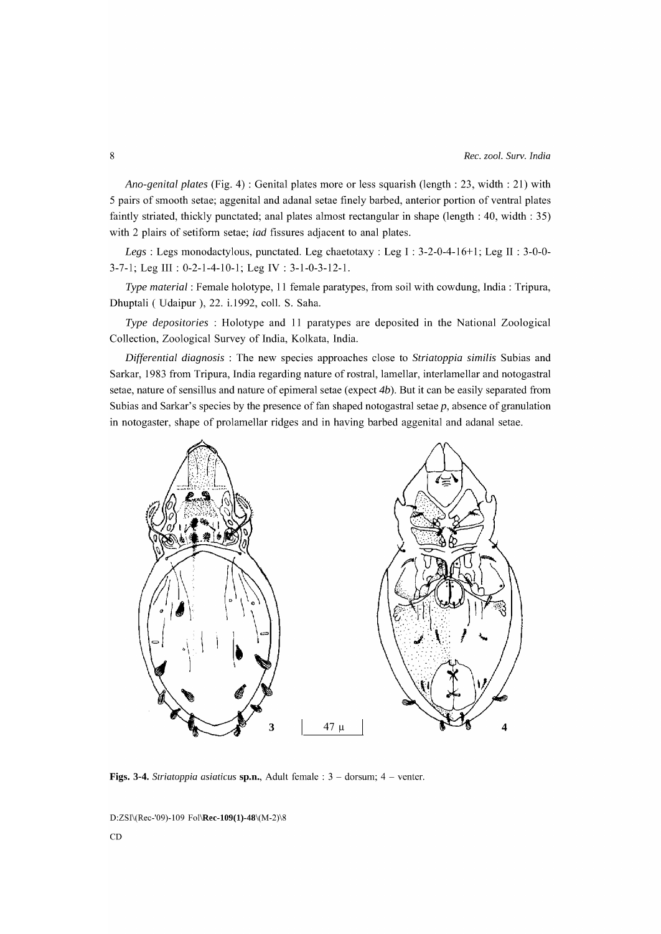*Ana-genital plates* (Fig. 4) : Genital plates more or less squarish (length: 23, width: 21) with 5 pairs of smooth setae; aggenital and adanal setae finely barbed, anterior portion of ventral plates faintly striated, thickly punctated; anal plates almost rectangular in shape (length: 40, width: 35) with 2 plairs of setiform setae; *iad* fissures adjacent to anal plates.

*Legs*: Legs monodactylous, punctated. Leg chaetotaxy : Leg I : 3-2-0-4-16+1; Leg II : 3-0-0-3-7-1; Leg III : 0-2-1-4-10-1; Leg IV : 3-1-0-3-12-1.

*Type material:* Female holotype, 11 female paratypes, from soil with cowdung, India: Tripura, Dhuptali ( Udaipur ), 22. i.1992, colI. S. Saha.

*Type depositories* : Holotype and 11 paratypes are deposited in the National Zoological Collection, Zoological Survey of India, Kolkata, India.

*Differential diagnosis* : The new species approaches close to *Striatoppia similis* Subias and Sarkar, 1983 from Tripura, India regarding nature of rostral, lamellar, interlamellar and notogastral setae, nature of sensillus and nature of epimeral setae (expect 4b). But it can be easily separated from Subias and Sarkar's species by the presence of fan shaped notogastral setae  $p$ , absence of granulation in notogaster, shape of prolamellar ridges and in having barbed aggenital and adanal setae.



Figs. 3-4. *Striatoppia asiaticus* sp.n., Adult female : 3 - dorsum; 4 - venter.

D:ZSI\(Rec-'09)-109 Fol\Rec-109(1)-48\(M-2)\8